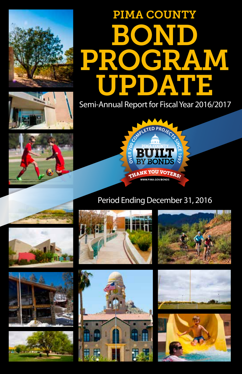

# Semi-Annual Report for Fiscal Year 2016/2017 PIMA COUNTY BOND PROGRAM UPDATE







# Period Ending December 31, 2016

![](_page_0_Picture_6.jpeg)

![](_page_0_Picture_7.jpeg)

![](_page_0_Picture_8.jpeg)

![](_page_0_Picture_9.jpeg)

![](_page_0_Picture_10.jpeg)

![](_page_0_Picture_11.jpeg)

![](_page_0_Picture_12.jpeg)

![](_page_0_Picture_13.jpeg)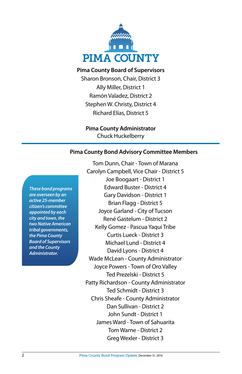![](_page_1_Picture_0.jpeg)

#### **Pima County Board of Supervisors**

Sharon Bronson, Chair, District 3 Ally Miller, District 1 Ramón Valadez, District 2 Stephen W. Christy, District 4 Richard Elías, District 5

#### **Pima County Administrator**

Chuck Huckelberry

#### **Pima County Bond Advisory Committee Members**

*These bond programs are overseen by an active 25-member citizen's committee appointed by each city and town, the two Native American tribal governments, the Pima County Board of Supervisors and the County Administrator.*

Tom Dunn, Chair - Town of Marana Carolyn Campbell, Vice Chair - District 5 Joe Boogaart - District 1 Edward Buster - District 4 Gary Davidson - District 1 Brian Flagg - District 5 Joyce Garland - City of Tucson René Gastelum - District 2 Kelly Gomez - Pascua Yaqui Tribe Curtis Lueck - District 3 Michael Lund - District 4 David Lyons - District 4 Wade McLean - County Administrator Joyce Powers - Town of Oro Valley Ted Prezelski - District 5 Patty Richardson - County Administrator Ted Schmidt - District 3 Chris Sheafe - County Administrator Dan Sullivan - District 2 John Sundt - District 1 James Ward - Town of Sahuarita Tom Warne - District 2 Greg Wexler - District 3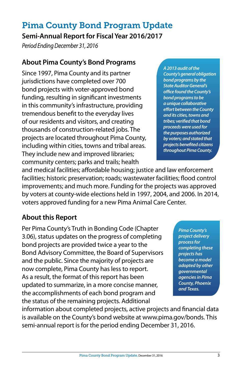# Pima County Bond Program Update

#### **Semi-Annual Report for Fiscal Year 2016/2017**

*Period Ending December 31, 2016*

## **About Pima County's Bond Programs**

Since 1997, Pima County and its partner jurisdictions have completed over 700 bond projects with voter-approved bond funding, resulting in significant investments in this community's infrastructure, providing tremendous benefit to the everyday lives of our residents and visitors, and creating thousands of construction-related jobs. The projects are located throughout Pima County, including within cities, towns and tribal areas. They include new and improved libraries; community centers; parks and trails; health

*A 2013 audit of the County's general obligation bond programs by the State Auditor General's office found the County's bond programs to be a unique collaborative effort between the County and its cities, towns and tribes; verified that bond proceeds were used for the purposes authorized by voters; and stated that projects benefited citizens throughout Pima County.* 

and medical facilities; affordable housing; justice and law enforcement facilities; historic preservation; roads; wastewater facilities; flood control improvements; and much more. Funding for the projects was approved by voters at county-wide elections held in 1997, 2004, and 2006. In 2014, voters approved funding for a new Pima Animal Care Center.

## **About this Report**

Per Pima County's Truth in Bonding Code (Chapter 3.06), status updates on the progress of completing bond projects are provided twice a year to the Bond Advisory Committee, the Board of Supervisors and the public. Since the majority of projects are now complete, Pima County has less to report. As a result, the format of this report has been updated to summarize, in a more concise manner, the accomplishments of each bond program and the status of the remaining projects. Additional

*Pima County's project delivery process for completing these projects has become a model adopted by other governmental agencies in Pima County, Phoenix and Texas.*

information about completed projects, active projects and financial data is available on the County's bond website at www.pima.gov/bonds. This semi-annual report is for the period ending December 31, 2016.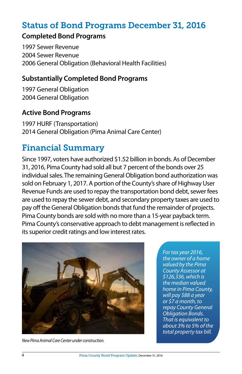## Status of Bond Programs December 31, 2016

#### **Completed Bond Programs**

1997 Sewer Revenue 2004 Sewer Revenue 2006 General Obligation (Behavioral Health Facilities)

#### **Substantially Completed Bond Programs**

1997 General Obligation 2004 General Obligation

#### **Active Bond Programs**

1997 HURF (Transportation) 2014 General Obligation (Pima Animal Care Center)

## Financial Summary

Since 1997, voters have authorized \$1.52 billion in bonds. As of December 31, 2016, Pima County had sold all but 7 percent of the bonds over 25 individual sales. The remaining General Obligation bond authorization was sold on February 1, 2017. A portion of the County's share of Highway User Revenue Funds are used to repay the transportation bond debt, sewer fees are used to repay the sewer debt, and secondary property taxes are used to pay off the General Obligation bonds that fund the remainder of projects. Pima County bonds are sold with no more than a 15-year payback term. Pima County's conservative approach to debt management is reflected in its superior credit ratings and low interest rates.

![](_page_3_Picture_9.jpeg)

*New Pima Animal Care Center under construction.*

*For tax year 2016, the owner of a home valued by the Pima County Assessor at \$126,336, which is the median valued home in Pima County, will pay \$88 a year or \$7 a month, to repay County General Obligation Bonds. That is equivalent to about 3% to 5% of the total property tax bill.*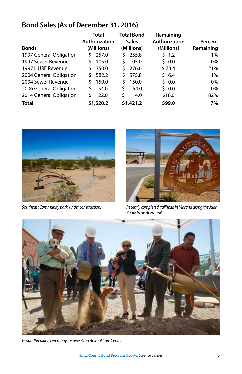## **Bond Sales (As of December 31, 2016)**

|                         | Total<br>Authorization |           | <b>Total Bond</b><br><b>Sales</b> |           | Remaining     |           |
|-------------------------|------------------------|-----------|-----------------------------------|-----------|---------------|-----------|
|                         |                        |           |                                   |           | Authorization | Percent   |
| <b>Bonds</b>            | (Millions)             |           | (Millions)                        |           | (Millions)    | Remaining |
| 1997 General Obligation |                        | 257.0     | S                                 | 255.8     | \$ 1.2        | $1\%$     |
| 1997 Sewer Revenue      | Ś                      | 105.0     | Ś.                                | 105.0     | \$ 0.0        | $0\%$     |
| 1997 HURF Revenue       | Š.                     | 350.0     | S.                                | 276.6     | \$73.4        | 21%       |
| 2004 General Obligation | Š.                     | 582.2     | S.                                | 575.8     | 56.4          | $1\%$     |
| 2004 Sewer Revenue      | Ś                      | 150.0     | Ś.                                | 150.0     | 50.0          | $0\%$     |
| 2006 General Obligation | Ś                      | 54.0      | \$                                | 54.0      | 50.0          | $0\%$     |
| 2014 General Obligation | Ś                      | 22.0      | \$                                | 4.0       | \$18.0        | 82%       |
| <b>Total</b>            |                        | \$1,520.2 |                                   | \$1,421.2 | \$99.0        | 7%        |

![](_page_4_Picture_2.jpeg)

![](_page_4_Picture_4.jpeg)

*Southeast Community park, under construction. Recently completed trailhead in Marana along the Juan Bautista de Anza Trail.*

![](_page_4_Picture_6.jpeg)

*Groundbreaking ceremony for new Pima Animal Care Center.*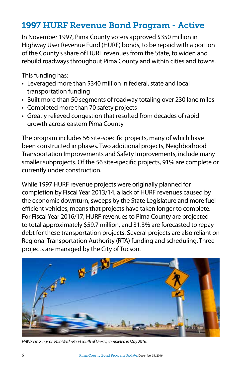## 1997 HURF Revenue Bond Program - Active

In November 1997, Pima County voters approved \$350 million in Highway User Revenue Fund (HURF) bonds, to be repaid with a portion of the County's share of HURF revenues from the State, to widen and rebuild roadways throughout Pima County and within cities and towns.

This funding has:

- Leveraged more than \$340 million in federal, state and local transportation funding
- Built more than 50 segments of roadway totaling over 230 lane miles
- Completed more than 70 safety projects
- Greatly relieved congestion that resulted from decades of rapid growth across eastern Pima County

The program includes 56 site-specific projects, many of which have been constructed in phases. Two additional projects, Neighborhood Transportation Improvements and Safety Improvements, include many smaller subprojects. Of the 56 site-specific projects, 91% are complete or currently under construction.

While 1997 HURF revenue projects were originally planned for completion by Fiscal Year 2013/14, a lack of HURF revenues caused by the economic downturn, sweeps by the State Legislature and more fuel efficient vehicles, means that projects have taken longer to complete. For Fiscal Year 2016/17, HURF revenues to Pima County are projected to total approximately \$59.7 million, and 31.3% are forecasted to repay debt for these transportation projects. Several projects are also reliant on Regional Transportation Authority (RTA) funding and scheduling. Three projects are managed by the City of Tucson.

![](_page_5_Picture_9.jpeg)

*HAWK crossings on Palo Verde Road south of Drexel, completed in May 2016.*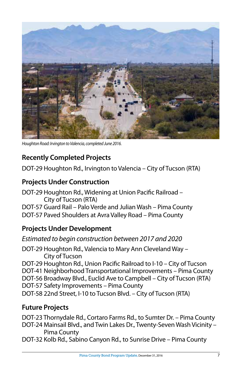![](_page_6_Picture_0.jpeg)

*Houghton Road: Irvington to Valencia, completed June 2016.*

## **Recently Completed Projects**

DOT-29 Houghton Rd., Irvington to Valencia – City of Tucson (RTA)

## **Projects Under Construction**

DOT-29 Houghton Rd., Widening at Union Pacific Railroad – City of Tucson (RTA) DOT-57 Guard Rail – Palo Verde and Julian Wash – Pima County DOT-57 Paved Shoulders at Avra Valley Road – Pima County

## **Projects Under Development**

*Estimated to begin construction between 2017 and 2020*

DOT-29 Houghton Rd., Valencia to Mary Ann Cleveland Way – City of Tucson DOT-29 Houghton Rd., Union Pacific Railroad to I-10 – City of Tucson DOT-41 Neighborhood Transportational Improvements – Pima County DOT-56 Broadway Blvd., Euclid Ave to Campbell – City of Tucson (RTA)

- DOT-57 Safety Improvements Pima County
- DOT-58 22nd Street, I-10 to Tucson Blvd. City of Tucson (RTA)

## **Future Projects**

DOT-23 Thornydale Rd., Cortaro Farms Rd., to Sumter Dr. – Pima County

DOT-24 Mainsail Blvd., and Twin Lakes Dr., Twenty-Seven Wash Vicinity – Pima County

DOT-32 Kolb Rd., Sabino Canyon Rd., to Sunrise Drive – Pima County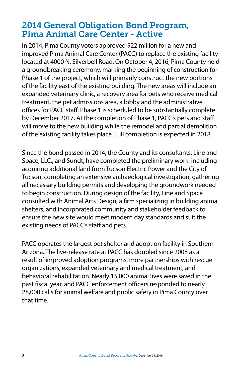## 2014 General Obligation Bond Program, Pima Animal Care Center - Active

In 2014, Pima County voters approved \$22 million for a new and improved Pima Animal Care Center (PACC) to replace the existing facility located at 4000 N. Silverbell Road. On October 4, 2016, Pima County held a groundbreaking ceremony, marking the beginning of construction for Phase 1 of the project, which will primarily construct the new portions of the facility east of the existing building. The new areas will include an expanded veterinary clinic, a recovery area for pets who receive medical treatment, the pet admissions area, a lobby and the administrative offices for PACC staff. Phase 1 is scheduled to be substantially complete by December 2017. At the completion of Phase 1, PACC's pets and staff will move to the new building while the remodel and partial demolition of the existing facility takes place. Full completion is expected in 2018.

Since the bond passed in 2014, the County and its consultants, Line and Space, LLC., and Sundt, have completed the preliminary work, including acquiring additional land from Tucson Electric Power and the City of Tucson, completing an extensive archaeological investigation, gathering all necessary building permits and developing the groundwork needed to begin construction. During design of the facility, Line and Space consulted with Animal Arts Design, a firm specializing in building animal shelters, and incorporated community and stakeholder feedback to ensure the new site would meet modern day standards and suit the existing needs of PACC's staff and pets.

PACC operates the largest pet shelter and adoption facility in Southern Arizona. The live-release rate at PACC has doubled since 2008 as a result of improved adoption programs, more partnerships with rescue organizations, expanded veterinary and medical treatment, and behavioral rehabilitation. Nearly 15,000 animal lives were saved in the past fiscal year, and PACC enforcement officers responded to nearly 28,000 calls for animal welfare and public safety in Pima County over that time.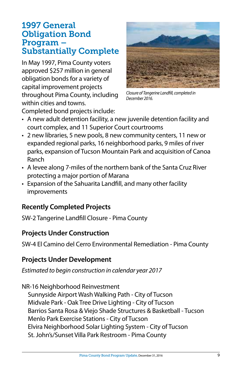## 1997 General Obligation Bond Program – Substantially Complete

In May 1997, Pima County voters approved \$257 million in general obligation bonds for a variety of capital improvement projects throughout Pima County, including within cities and towns.

![](_page_8_Picture_2.jpeg)

*Closure of Tangerine Landfill, completed in December 2016.*

Completed bond projects include:

- A new adult detention facility, a new juvenile detention facility and court complex, and 11 Superior Court courtrooms
- 2 new libraries, 5 new pools, 8 new community centers, 11 new or expanded regional parks, 16 neighborhood parks, 9 miles of river parks, expansion of Tucson Mountain Park and acquisition of Canoa Ranch
- A levee along 7-miles of the northern bank of the Santa Cruz River protecting a major portion of Marana
- Expansion of the Sahuarita Landfill, and many other facility improvements

## **Recently Completed Projects**

SW-2 Tangerine Landfill Closure - Pima County

## **Projects Under Construction**

SW-4 El Camino del Cerro Environmental Remediation - Pima County

## **Projects Under Development**

*Estimated to begin construction in calendar year 2017*

NR-16 Neighborhood Reinvestment Sunnyside Airport Wash Walking Path - City of Tucson

Midvale Park - Oak Tree Drive Lighting - City of Tucson Barrios Santa Rosa & Viejo Shade Structures & Basketball - Tucson Menlo Park Exercise Stations - City of Tucson Elvira Neighborhood Solar Lighting System - City of Tucson St. John's/Sunset Villa Park Restroom - Pima County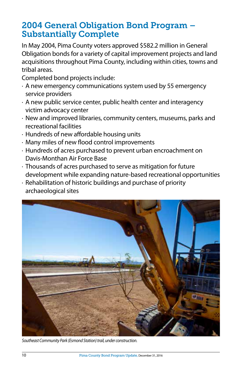## 2004 General Obligation Bond Program – Substantially Complete

In May 2004, Pima County voters approved \$582.2 million in General Obligation bonds for a variety of capital improvement projects and land acquisitions throughout Pima County, including within cities, towns and tribal areas.

Completed bond projects include:

- · A new emergency communications system used by 55 emergency service providers
- · A new public service center, public health center and interagency victim advocacy center
- · New and improved libraries, community centers, museums, parks and recreational facilities
- · Hundreds of new affordable housing units
- · Many miles of new flood control improvements
- · Hundreds of acres purchased to prevent urban encroachment on Davis-Monthan Air Force Base
- · Thousands of acres purchased to serve as mitigation for future development while expanding nature-based recreational opportunities
- · Rehabilitation of historic buildings and purchase of priority archaeological sites

![](_page_9_Picture_11.jpeg)

*Southeast Community Park (Esmond Station) trail, under construction.*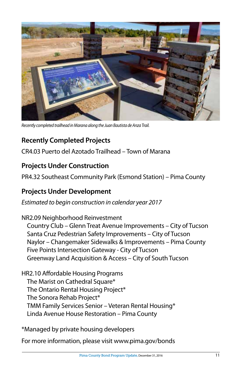![](_page_10_Picture_0.jpeg)

*Recently completed trailhead in Marana along the Juan Bautista de Anza Trail.*

## **Recently Completed Projects**

CR4.03 Puerto del Azotado Trailhead – Town of Marana

## **Projects Under Construction**

PR4.32 Southeast Community Park (Esmond Station) – Pima County

## **Projects Under Development**

*Estimated to begin construction in calendar year 2017*

NR2.09 Neighborhood Reinvestment Country Club – Glenn Treat Avenue Improvements – City of Tucson Santa Cruz Pedestrian Safety Improvements – City of Tucson Naylor – Changemaker Sidewalks & Improvements – Pima County Five Points Intersection Gateway - City of Tucson Greenway Land Acquisition & Access – City of South Tucson

HR2.10 Affordable Housing Programs The Marist on Cathedral Square\* The Ontario Rental Housing Project\* The Sonora Rehab Project\* TMM Family Services Senior – Veteran Rental Housing\* Linda Avenue House Restoration – Pima County

\*Managed by private housing developers

For more information, please visit www.pima.gov/bonds